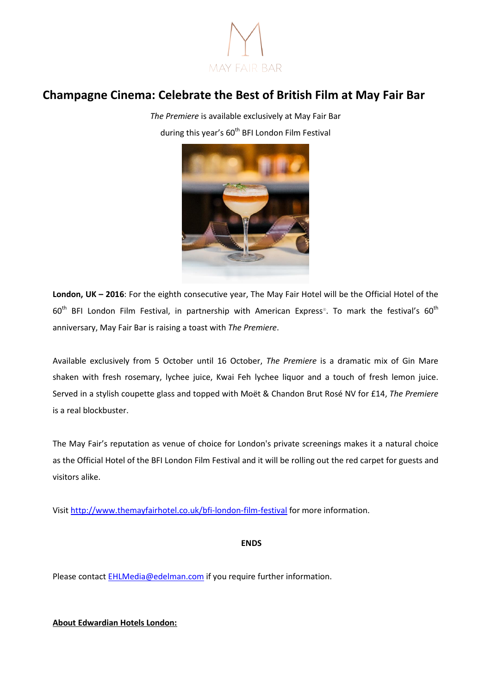

## **Champagne Cinema: Celebrate the Best of British Film at May Fair Bar**

*The Premiere* is available exclusively at May Fair Bar during this year's 60<sup>th</sup> BFI London Film Festival



**London, UK – 2016**: For the eighth consecutive year, The May Fair Hotel will be the Official Hotel of the  $60^{\text{th}}$  BFI London Film Festival, in partnership with American Express®. To mark the festival's  $60^{\text{th}}$ anniversary, May Fair Bar is raising a toast with *The Premiere*.

Available exclusively from 5 October until 16 October, *The Premiere* is a dramatic mix of Gin Mare shaken with fresh rosemary, lychee juice, Kwai Feh lychee liquor and a touch of fresh lemon juice. Served in a stylish coupette glass and topped with Moët & Chandon Brut Rosé NV for £14, *The Premiere* is a real blockbuster.

The May Fair's reputation as venue of choice for London's private screenings makes it a natural choice as the Official Hotel of the BFI London Film Festival and it will be rolling out the red carpet for guests and visitors alike.

Visit <http://www.themayfairhotel.co.uk/bfi-london-film-festival> for more information.

**ENDS**

Please contact [EHLMedia@edelman.com](mailto:EHLMedia@edelman.com) if you require further information.

**About Edwardian Hotels London:**